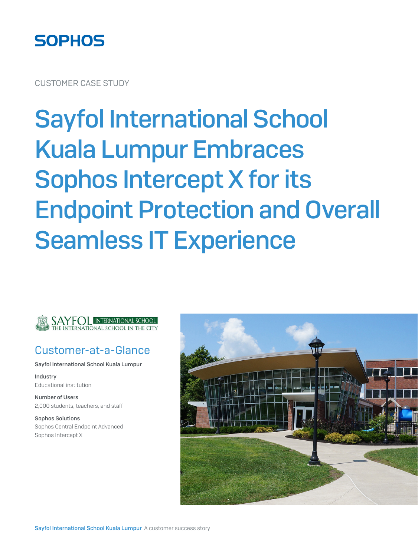

CUSTOMER CASE STUDY

# Sayfol International School Kuala Lumpur Embraces Sophos Intercept X for its Endpoint Protection and Overall Seamless IT Experience



#### Customer-at-a-Glance

Sayfol International School Kuala Lumpur

Industry Educational institution

Number of Users 2,000 students, teachers, and staff

Sophos Solutions Sophos Central Endpoint Advanced Sophos Intercept X

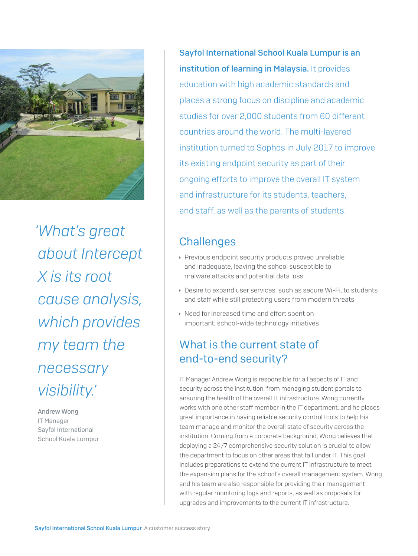

*'What's great about Intercept X is its root cause analysis, which provides my team the necessary visibility.'*

Andrew Wong IT Manager Sayfol International School Kuala Lumpur

Sayfol International School Kuala Lumpur is an institution of learning in Malaysia. It provides education with high academic standards and places a strong focus on discipline and academic studies for over 2,000 students from 60 different countries around the world. The multi-layered institution turned to Sophos in July 2017 to improve its existing endpoint security as part of their ongoing efforts to improve the overall IT system and infrastructure for its students, teachers, and staff, as well as the parents of students.

# **Challenges**

- **Previous endpoint security products proved unreliable** and inadequate, leaving the school susceptible to malware attacks and potential data loss
- Desire to expand user services, such as secure Wi-Fi, to students and staff while still protecting users from modern threats
- ▸ Need for increased time and effort spent on important, school-wide technology initiatives

# What is the current state of end-to-end security?

IT Manager Andrew Wong is responsible for all aspects of IT and security across the institution, from managing student portals to ensuring the health of the overall IT infrastructure. Wong currently works with one other staff member in the IT department, and he places great importance in having reliable security control tools to help his team manage and monitor the overall state of security across the institution. Coming from a corporate background, Wong believes that deploying a 24/7 comprehensive security solution is crucial to allow the department to focus on other areas that fall under IT. This goal includes preparations to extend the current IT infrastructure to meet the expansion plans for the school's overall management system. Wong and his team are also responsible for providing their management with regular monitoring logs and reports, as well as proposals for upgrades and improvements to the current IT infrastructure.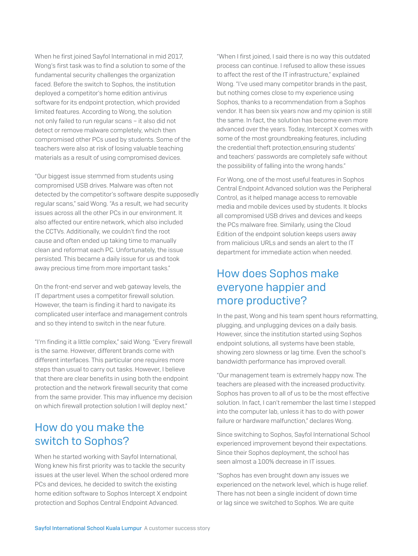When he first joined Sayfol International in mid 2017, Wong's first task was to find a solution to some of the fundamental security challenges the organization faced. Before the switch to Sophos, the institution deployed a competitor's home edition antivirus software for its endpoint protection, which provided limited features. According to Wong, the solution not only failed to run regular scans – it also did not detect or remove malware completely, which then compromised other PCs used by students. Some of the teachers were also at risk of losing valuable teaching materials as a result of using compromised devices.

"Our biggest issue stemmed from students using compromised USB drives. Malware was often not detected by the competitor's software despite supposedly regular scans," said Wong. "As a result, we had security issues across all the other PCs in our environment. It also affected our entire network, which also included the CCTVs. Additionally, we couldn't find the root cause and often ended up taking time to manually clean and reformat each PC. Unfortunately, the issue persisted. This became a daily issue for us and took away precious time from more important tasks."

On the front-end server and web gateway levels, the IT department uses a competitor firewall solution. However, the team is finding it hard to navigate its complicated user interface and management controls and so they intend to switch in the near future.

"I'm finding it a little complex," said Wong. "Every firewall is the same. However, different brands come with different interfaces. This particular one requires more steps than usual to carry out tasks. However, I believe that there are clear benefits in using both the endpoint protection and the network firewall security that come from the same provider. This may influence my decision on which firewall protection solution I will deploy next."

#### How do you make the switch to Sophos?

When he started working with Sayfol International, Wong knew his first priority was to tackle the security issues at the user level. When the school ordered more PCs and devices, he decided to switch the existing home edition software to Sophos Intercept X endpoint protection and Sophos Central Endpoint Advanced.

"When I first joined, I said there is no way this outdated process can continue. I refused to allow these issues to affect the rest of the IT infrastructure," explained Wong. "I've used many competitor brands in the past, but nothing comes close to my experience using Sophos, thanks to a recommendation from a Sophos vendor. It has been six years now and my opinion is still the same. In fact, the solution has become even more advanced over the years. Today, Intercept X comes with some of the most groundbreaking features, including the credential theft protection,ensuring students' and teachers' passwords are completely safe without the possibility of falling into the wrong hands."

For Wong, one of the most useful features in Sophos Central Endpoint Advanced solution was the Peripheral Control, as it helped manage access to removable media and mobile devices used by students. It blocks all compromised USB drives and devices and keeps the PCs malware free. Similarly, using the Cloud Edition of the endpoint solution keeps users away from malicious URLs and sends an alert to the IT department for immediate action when needed.

#### How does Sophos make everyone happier and more productive?

In the past, Wong and his team spent hours reformatting, plugging, and unplugging devices on a daily basis. However, since the institution started using Sophos endpoint solutions, all systems have been stable, showing zero slowness or lag time. Even the school's bandwidth performance has improved overall.

"Our management team is extremely happy now. The teachers are pleased with the increased productivity. Sophos has proven to all of us to be the most effective solution. In fact, I can't remember the last time I stepped into the computer lab, unless it has to do with power failure or hardware malfunction," declares Wong.

Since switching to Sophos, Sayfol International School experienced improvement beyond their expectations. Since their Sophos deployment, the school has seen almost a 100% decrease in IT issues.

"Sophos has even brought down any issues we experienced on the network level, which is huge relief. There has not been a single incident of down time or lag since we switched to Sophos. We are quite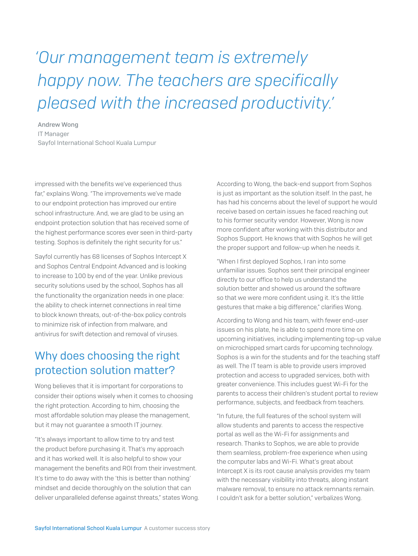# *'Our management team is extremely happy now. The teachers are specifically pleased with the increased productivity.'*

Andrew Wong IT Manager Sayfol International School Kuala Lumpur

impressed with the benefits we've experienced thus far," explains Wong. "The improvements we've made to our endpoint protection has improved our entire school infrastructure. And, we are glad to be using an endpoint protection solution that has received some of the highest performance scores ever seen in third-party testing. Sophos is definitely the right security for us."

Sayfol currently has 68 licenses of Sophos Intercept X and Sophos Central Endpoint Advanced and is looking to increase to 100 by end of the year. Unlike previous security solutions used by the school, Sophos has all the functionality the organization needs in one place: the ability to check internet connections in real time to block known threats, out-of-the-box policy controls to minimize risk of infection from malware, and antivirus for swift detection and removal of viruses.

## Why does choosing the right protection solution matter?

Wong believes that it is important for corporations to consider their options wisely when it comes to choosing the right protection. According to him, choosing the most affordable solution may please the management, but it may not guarantee a smooth IT journey.

"It's always important to allow time to try and test the product before purchasing it. That's my approach and it has worked well. It is also helpful to show your management the benefits and ROI from their investment. It's time to do away with the 'this is better than nothing' mindset and decide thoroughly on the solution that can deliver unparalleled defense against threats," states Wong. According to Wong, the back-end support from Sophos is just as important as the solution itself. In the past, he has had his concerns about the level of support he would receive based on certain issues he faced reaching out to his former security vendor. However, Wong is now more confident after working with this distributor and Sophos Support. He knows that with Sophos he will get the proper support and follow-up when he needs it.

"When I first deployed Sophos, I ran into some unfamiliar issues. Sophos sent their principal engineer directly to our office to help us understand the solution better and showed us around the software so that we were more confident using it. It's the little gestures that make a big difference," clarifies Wong.

According to Wong and his team, with fewer end-user issues on his plate, he is able to spend more time on upcoming initiatives, including implementing top-up value on microchipped smart cards for upcoming technology. Sophos is a win for the students and for the teaching staff as well. The IT team is able to provide users improved protection and access to upgraded services, both with greater convenience. This includes guest Wi-Fi for the parents to access their children's student portal to review performance, subjects, and feedback from teachers.

"In future, the full features of the school system will allow students and parents to access the respective portal as well as the Wi-Fi for assignments and research. Thanks to Sophos, we are able to provide them seamless, problem-free experience when using the computer labs and Wi-Fi. What's great about Intercept X is its root cause analysis provides my team with the necessary visibility into threats, along instant malware removal, to ensure no attack remnants remain. I couldn't ask for a better solution," verbalizes Wong.